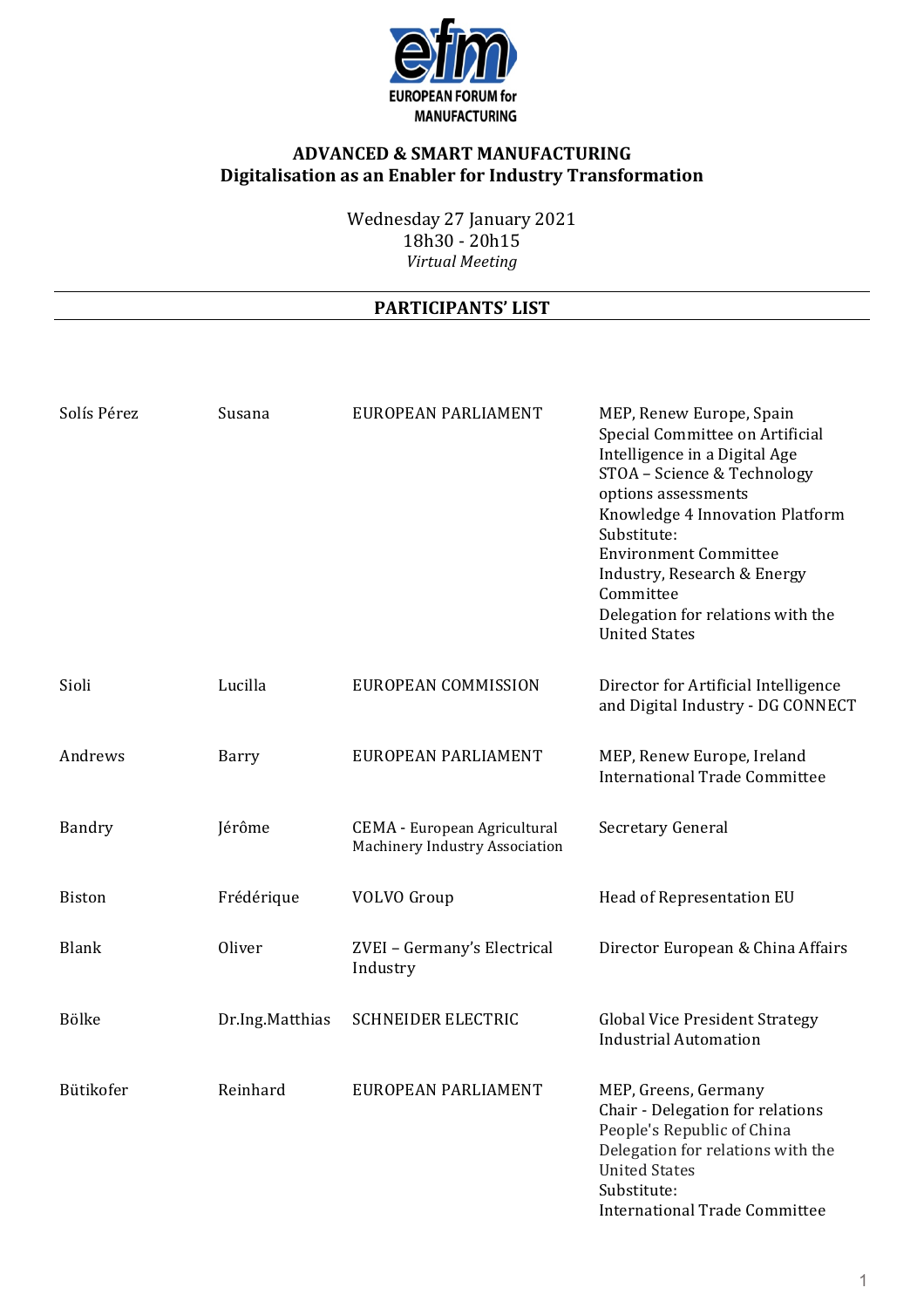

Wednesday 27 January 2021 18h30 - 20h15 *Virtual Meeting*

| Solís Pérez   | Susana          | EUROPEAN PARLIAMENT                                                   | MEP, Renew Europe, Spain<br>Special Committee on Artificial<br>Intelligence in a Digital Age<br>STOA - Science & Technology<br>options assessments<br>Knowledge 4 Innovation Platform<br>Substitute:<br><b>Environment Committee</b><br>Industry, Research & Energy<br>Committee<br>Delegation for relations with the<br><b>United States</b> |
|---------------|-----------------|-----------------------------------------------------------------------|-----------------------------------------------------------------------------------------------------------------------------------------------------------------------------------------------------------------------------------------------------------------------------------------------------------------------------------------------|
| Sioli         | Lucilla         | EUROPEAN COMMISSION                                                   | Director for Artificial Intelligence<br>and Digital Industry - DG CONNECT                                                                                                                                                                                                                                                                     |
| Andrews       | Barry           | EUROPEAN PARLIAMENT                                                   | MEP, Renew Europe, Ireland<br><b>International Trade Committee</b>                                                                                                                                                                                                                                                                            |
| Bandry        | Jérôme          | <b>CEMA - European Agricultural</b><br>Machinery Industry Association | Secretary General                                                                                                                                                                                                                                                                                                                             |
| <b>Biston</b> | Frédérique      | <b>VOLVO</b> Group                                                    | Head of Representation EU                                                                                                                                                                                                                                                                                                                     |
| <b>Blank</b>  | Oliver          | ZVEI - Germany's Electrical<br>Industry                               | Director European & China Affairs                                                                                                                                                                                                                                                                                                             |
| Bölke         | Dr.Ing.Matthias | <b>SCHNEIDER ELECTRIC</b>                                             | <b>Global Vice President Strategy</b><br><b>Industrial Automation</b>                                                                                                                                                                                                                                                                         |
| Bütikofer     | Reinhard        | EUROPEAN PARLIAMENT                                                   | MEP, Greens, Germany<br>Chair - Delegation for relations<br>People's Republic of China<br>Delegation for relations with the<br><b>United States</b><br>Substitute:<br><b>International Trade Committee</b>                                                                                                                                    |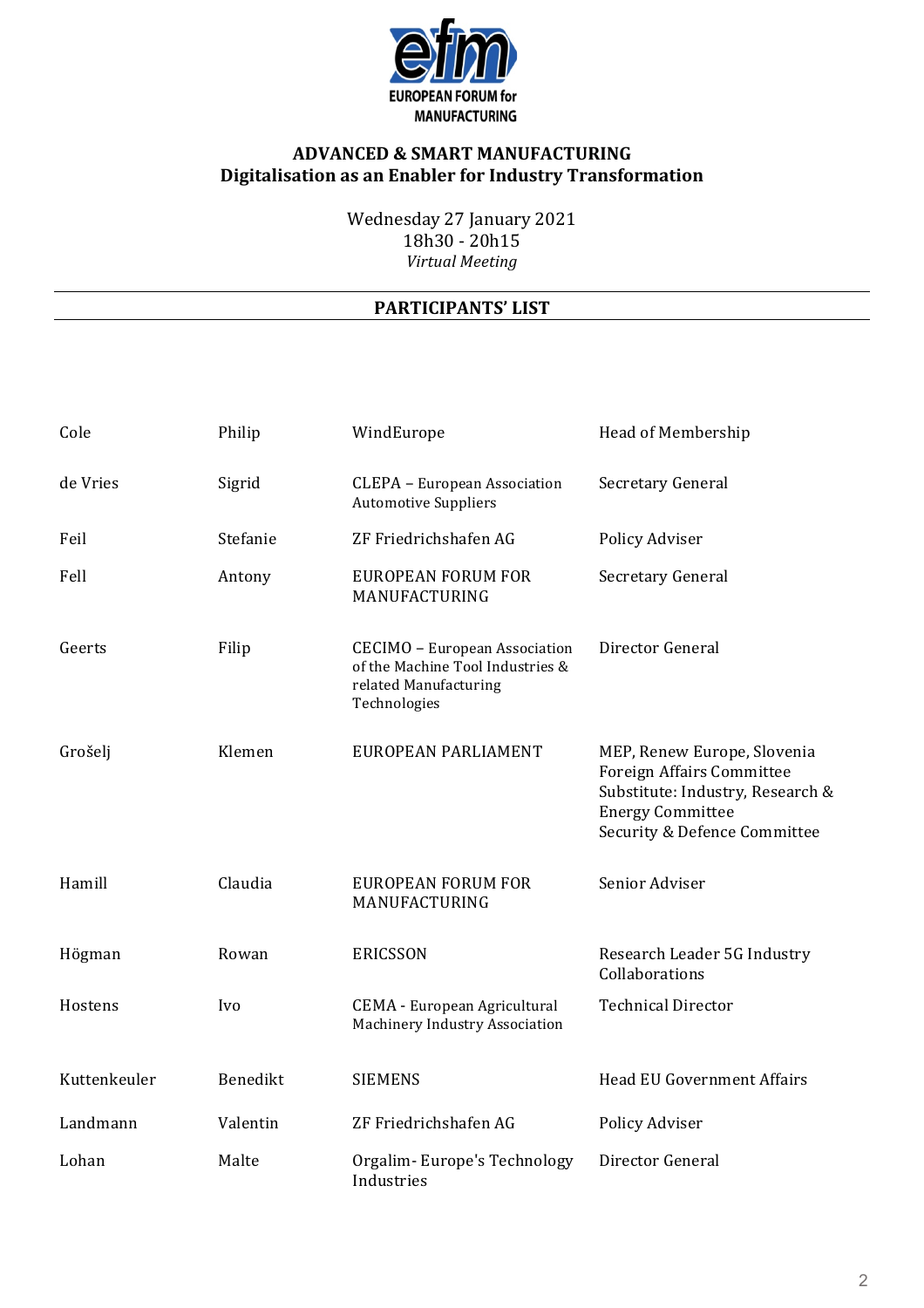

Wednesday 27 January 2021 18h30 - 20h15 *Virtual Meeting*

| Cole         | Philip     | WindEurope                                                                                                 | Head of Membership                                                                                                                                      |
|--------------|------------|------------------------------------------------------------------------------------------------------------|---------------------------------------------------------------------------------------------------------------------------------------------------------|
| de Vries     | Sigrid     | <b>CLEPA - European Association</b><br><b>Automotive Suppliers</b>                                         | Secretary General                                                                                                                                       |
| Feil         | Stefanie   | ZF Friedrichshafen AG                                                                                      | Policy Adviser                                                                                                                                          |
| Fell         | Antony     | <b>EUROPEAN FORUM FOR</b><br>MANUFACTURING                                                                 | Secretary General                                                                                                                                       |
| Geerts       | Filip      | CECIMO - European Association<br>of the Machine Tool Industries &<br>related Manufacturing<br>Technologies | Director General                                                                                                                                        |
| Grošelj      | Klemen     | EUROPEAN PARLIAMENT                                                                                        | MEP, Renew Europe, Slovenia<br>Foreign Affairs Committee<br>Substitute: Industry, Research &<br><b>Energy Committee</b><br>Security & Defence Committee |
| Hamill       | Claudia    | <b>EUROPEAN FORUM FOR</b><br>MANUFACTURING                                                                 | Senior Adviser                                                                                                                                          |
| Högman       | Rowan      | <b>ERICSSON</b>                                                                                            | Research Leader 5G Industry<br>Collaborations                                                                                                           |
| Hostens      | <i>Ivo</i> | <b>CEMA</b> - European Agricultural<br>Machinery Industry Association                                      | <b>Technical Director</b>                                                                                                                               |
| Kuttenkeuler | Benedikt   | <b>SIEMENS</b>                                                                                             | <b>Head EU Government Affairs</b>                                                                                                                       |
| Landmann     | Valentin   | ZF Friedrichshafen AG                                                                                      | Policy Adviser                                                                                                                                          |
| Lohan        | Malte      | Orgalim-Europe's Technology<br>Industries                                                                  | Director General                                                                                                                                        |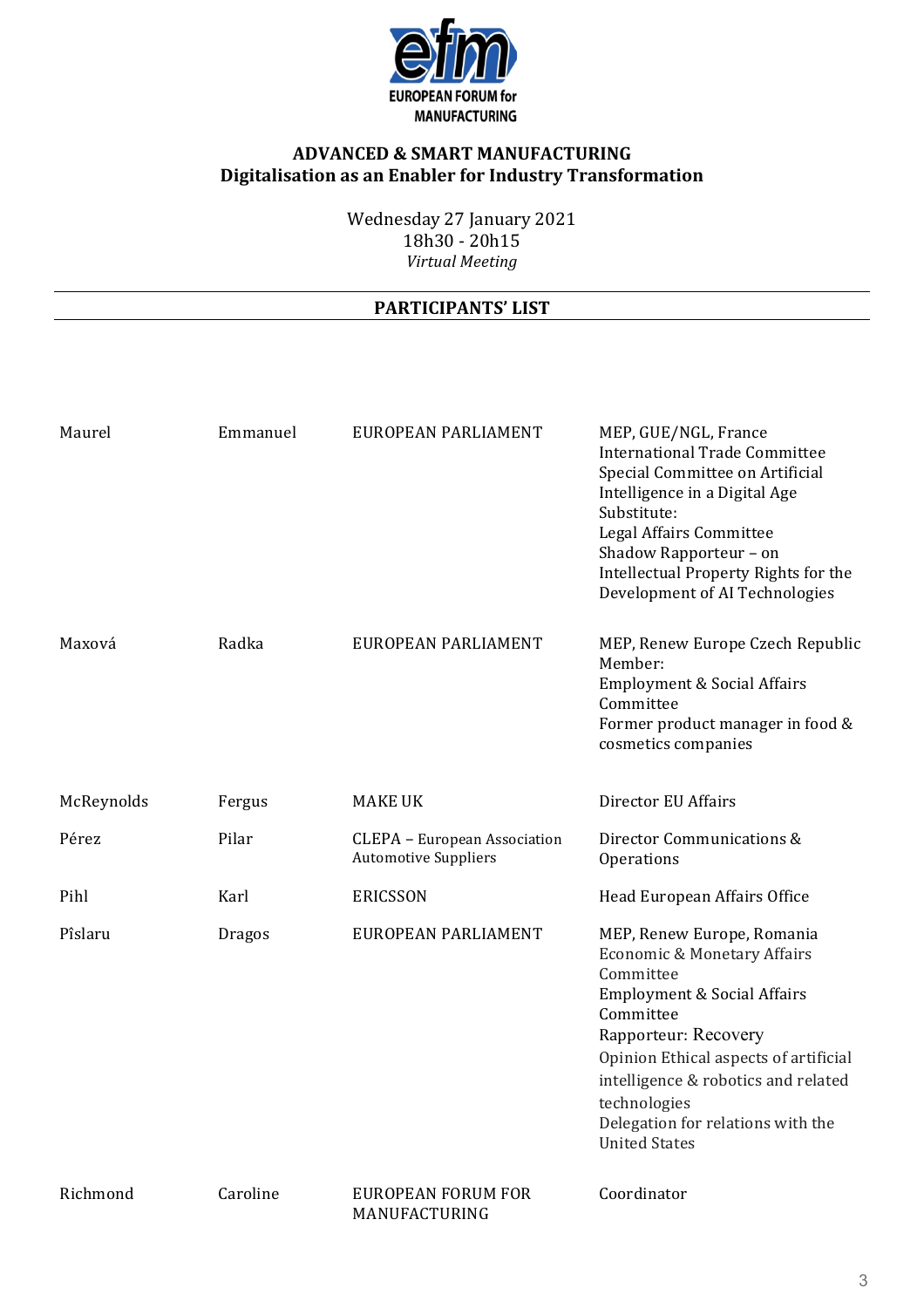

Wednesday 27 January 2021 18h30 - 20h15 *Virtual Meeting*

| Maurel     | Emmanuel      | EUROPEAN PARLIAMENT                                         | MEP, GUE/NGL, France<br><b>International Trade Committee</b><br>Special Committee on Artificial<br>Intelligence in a Digital Age<br>Substitute:<br>Legal Affairs Committee<br>Shadow Rapporteur - on<br>Intellectual Property Rights for the<br>Development of AI Technologies                                     |
|------------|---------------|-------------------------------------------------------------|--------------------------------------------------------------------------------------------------------------------------------------------------------------------------------------------------------------------------------------------------------------------------------------------------------------------|
| Maxová     | Radka         | EUROPEAN PARLIAMENT                                         | MEP, Renew Europe Czech Republic<br>Member:<br><b>Employment &amp; Social Affairs</b><br>Committee<br>Former product manager in food &<br>cosmetics companies                                                                                                                                                      |
| McReynolds | Fergus        | <b>MAKE UK</b>                                              | Director EU Affairs                                                                                                                                                                                                                                                                                                |
| Pérez      | Pilar         | CLEPA - European Association<br><b>Automotive Suppliers</b> | Director Communications &<br>Operations                                                                                                                                                                                                                                                                            |
| Pihl       | Karl          | <b>ERICSSON</b>                                             | Head European Affairs Office                                                                                                                                                                                                                                                                                       |
| Pîslaru    | <b>Dragos</b> | EUROPEAN PARLIAMENT                                         | MEP, Renew Europe, Romania<br>Economic & Monetary Affairs<br>Committee<br><b>Employment &amp; Social Affairs</b><br>Committee<br>Rapporteur: Recovery<br>Opinion Ethical aspects of artificial<br>intelligence & robotics and related<br>technologies<br>Delegation for relations with the<br><b>United States</b> |
| Richmond   | Caroline      | <b>EUROPEAN FORUM FOR</b><br>MANUFACTURING                  | Coordinator                                                                                                                                                                                                                                                                                                        |